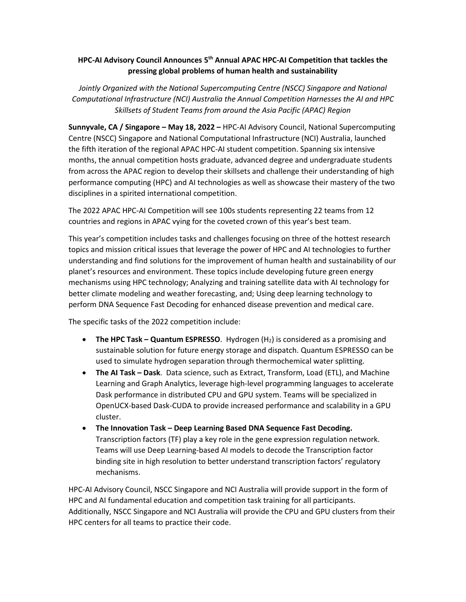## **HPC-AI Advisory Council Announces 5 th Annual APAC HPC-AI Competition that tackles the pressing global problems of human health and sustainability**

*Jointly Organized with the National Supercomputing Centre (NSCC) Singapore and National Computational Infrastructure (NCI) Australia the Annual Competition Harnesses the AI and HPC Skillsets of Student Teams from around the Asia Pacific (APAC) Region* 

**Sunnyvale, CA / Singapore – May 18, 2022 –** HPC-AI Advisory Council, National Supercomputing Centre (NSCC) Singapore and National Computational Infrastructure (NCI) Australia, launched the fifth iteration of the regional APAC HPC-AI student competition. Spanning six intensive months, the annual competition hosts graduate, advanced degree and undergraduate students from across the APAC region to develop their skillsets and challenge their understanding of high performance computing (HPC) and AI technologies as well as showcase their mastery of the two disciplines in a spirited international competition.

The 2022 APAC HPC-AI Competition will see 100s students representing 22 teams from 12 countries and regions in APAC vying for the coveted crown of this year's best team.

This year's competition includes tasks and challenges focusing on three of the hottest research topics and mission critical issues that leverage the power of HPC and AI technologies to further understanding and find solutions for the improvement of human health and sustainability of our planet's resources and environment. These topics include developing future green energy mechanisms using HPC technology; Analyzing and training satellite data with AI technology for better climate modeling and weather forecasting, and; Using deep learning technology to perform DNA Sequence Fast Decoding for enhanced disease prevention and medical care.

The specific tasks of the 2022 competition include:

- **The HPC Task – Quantum ESPRESSO**. Hydrogen (H2) is considered as a promising and sustainable solution for future energy storage and dispatch. Quantum ESPRESSO can be used to simulate hydrogen separation through thermochemical water splitting.
- **The AI Task – Dask**. Data science, such as Extract, Transform, Load (ETL), and Machine Learning and Graph Analytics, leverage high-level programming languages to accelerate Dask performance in distributed CPU and GPU system. Teams will be specialized in OpenUCX-based Dask-CUDA to provide increased performance and scalability in a GPU cluster.
- **The Innovation Task – Deep Learning Based DNA Sequence Fast Decoding.** Transcription factors (TF) play a key role in the gene expression regulation network. Teams will use Deep Learning-based AI models to decode the Transcription factor binding site in high resolution to better understand transcription factors' regulatory mechanisms.

HPC-AI Advisory Council, NSCC Singapore and NCI Australia will provide support in the form of HPC and AI fundamental education and competition task training for all participants. Additionally, NSCC Singapore and NCI Australia will provide the CPU and GPU clusters from their HPC centers for all teams to practice their code.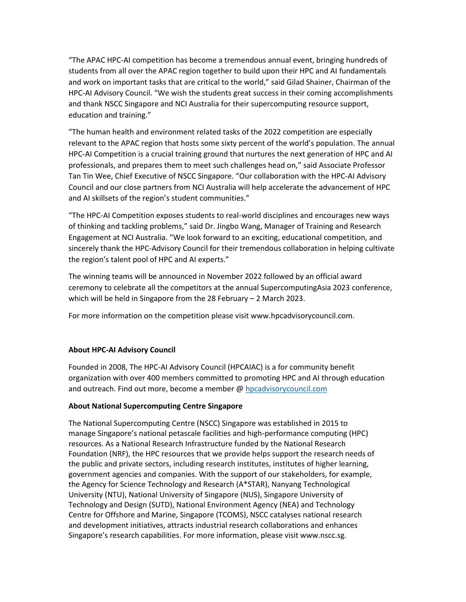"The APAC HPC-AI competition has become a tremendous annual event, bringing hundreds of students from all over the APAC region together to build upon their HPC and AI fundamentals and work on important tasks that are critical to the world," said Gilad Shainer, Chairman of the HPC-AI Advisory Council. "We wish the students great success in their coming accomplishments and thank NSCC Singapore and NCI Australia for their supercomputing resource support, education and training."

"The human health and environment related tasks of the 2022 competition are especially relevant to the APAC region that hosts some sixty percent of the world's population. The annual HPC-AI Competition is a crucial training ground that nurtures the next generation of HPC and AI professionals, and prepares them to meet such challenges head on," said Associate Professor Tan Tin Wee, Chief Executive of NSCC Singapore. "Our collaboration with the HPC-AI Advisory Council and our close partners from NCI Australia will help accelerate the advancement of HPC and AI skillsets of the region's student communities."

"The HPC-AI Competition exposes students to real-world disciplines and encourages new ways of thinking and tackling problems," said Dr. Jingbo Wang, Manager of Training and Research Engagement at NCI Australia. "We look forward to an exciting, educational competition, and sincerely thank the HPC-Advisory Council for their tremendous collaboration in helping cultivate the region's talent pool of HPC and AI experts."

The winning teams will be announced in November 2022 followed by an official award ceremony to celebrate all the competitors at the annual SupercomputingAsia 2023 conference, which will be held in Singapore from the 28 February – 2 March 2023.

For more information on the competition please visit www[.hpcadvisorycouncil.com.](https://www.hpcadvisorycouncil.com/)

## **About HPC-AI Advisory Council**

Founded in 2008, The HPC-AI Advisory Council (HPCAIAC) is a for community benefit organization with over 400 members committed to promoting HPC and AI through education and outreach. Find out more, become a member [@ hpcadvisorycouncil.com](https://www.hpcadvisorycouncil.com/)

## **About National Supercomputing Centre Singapore**

The National Supercomputing Centre (NSCC) Singapore was established in 2015 to manage Singapore's national petascale facilities and high-performance computing (HPC) resources. As a National Research Infrastructure funded by the National Research Foundation (NRF), the HPC resources that we provide helps support the research needs of the public and private sectors, including research institutes, institutes of higher learning, government agencies and companies. With the support of our stakeholders, for example, the Agency for Science Technology and Research (A\*STAR), Nanyang Technological University (NTU), National University of Singapore (NUS), Singapore University of Technology and Design (SUTD), National Environment Agency (NEA) and Technology Centre for Offshore and Marine, Singapore (TCOMS), NSCC catalyses national research and development initiatives, attracts industrial research collaborations and enhances Singapore's research capabilities. For more information, please visit www.nscc.sg.